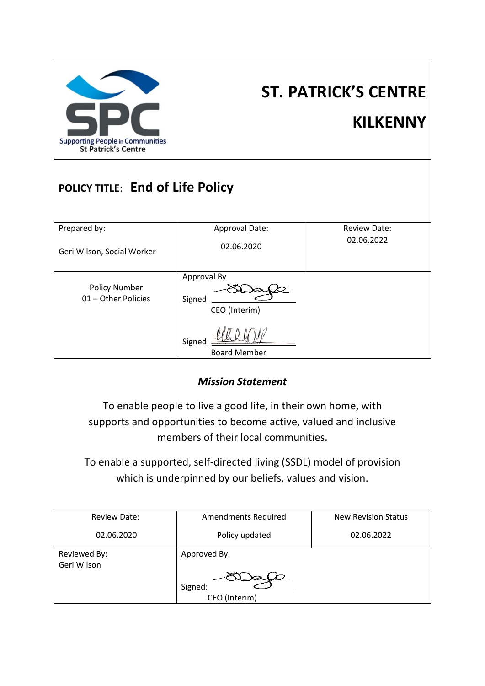

# **ST. PATRICK'S CENTRE KILKENNY**

# **POLICY TITLE**: **End of Life Policy**

| Prepared by:                                | Approval Date:                          | <b>Review Date:</b> |
|---------------------------------------------|-----------------------------------------|---------------------|
| Geri Wilson, Social Worker                  | 02.06.2020                              | 02.06.2022          |
| <b>Policy Number</b><br>01 - Other Policies | Approval By<br>Signed:<br>CEO (Interim) |                     |
|                                             | Signed:<br><b>Board Member</b>          |                     |

# *Mission Statement*

To enable people to live a good life, in their own home, with supports and opportunities to become active, valued and inclusive members of their local communities.

To enable a supported, self-directed living (SSDL) model of provision which is underpinned by our beliefs, values and vision.

| <b>Review Date:</b>         | <b>Amendments Required</b>               | <b>New Revision Status</b> |  |
|-----------------------------|------------------------------------------|----------------------------|--|
| 02.06.2020                  | Policy updated                           | 02.06.2022                 |  |
| Reviewed By:<br>Geri Wilson | Approved By:<br>Signed:<br>CEO (Interim) |                            |  |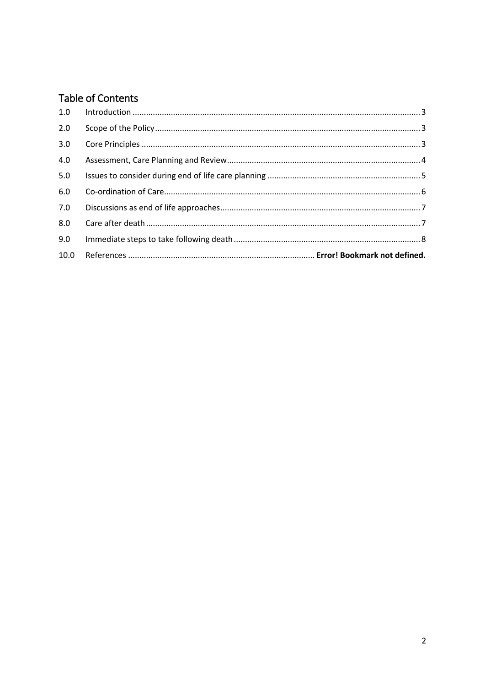# Table of Contents

| 1.0 |  |
|-----|--|
| 2.0 |  |
| 3.0 |  |
| 4.0 |  |
| 5.0 |  |
| 6.0 |  |
| 7.0 |  |
| 8.0 |  |
| 9.0 |  |
|     |  |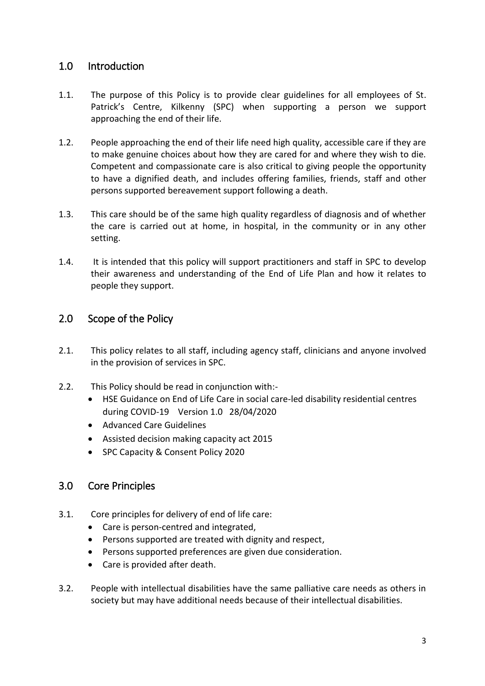#### <span id="page-2-0"></span>1.0 Introduction

- 1.1. The purpose of this Policy is to provide clear guidelines for all employees of St. Patrick's Centre, Kilkenny (SPC) when supporting a person we support approaching the end of their life.
- 1.2. People approaching the end of their life need high quality, accessible care if they are to make genuine choices about how they are cared for and where they wish to die. Competent and compassionate care is also critical to giving people the opportunity to have a dignified death, and includes offering families, friends, staff and other persons supported bereavement support following a death.
- 1.3. This care should be of the same high quality regardless of diagnosis and of whether the care is carried out at home, in hospital, in the community or in any other setting.
- 1.4. It is intended that this policy will support practitioners and staff in SPC to develop their awareness and understanding of the End of Life Plan and how it relates to people they support.

#### <span id="page-2-1"></span>2.0 Scope of the Policy

- 2.1. This policy relates to all staff, including agency staff, clinicians and anyone involved in the provision of services in SPC.
- 2.2. This Policy should be read in conjunction with:-
	- HSE Guidance on End of Life Care in social care-led disability residential centres during COVID-19 Version 1.0 28/04/2020
	- Advanced Care Guidelines
	- Assisted decision making capacity act 2015
	- SPC Capacity & Consent Policy 2020

#### <span id="page-2-2"></span>3.0 Core Principles

- 3.1. Core principles for delivery of end of life care:
	- Care is person-centred and integrated,
	- Persons supported are treated with dignity and respect,
	- Persons supported preferences are given due consideration.
	- Care is provided after death.
- 3.2. People with intellectual disabilities have the same palliative care needs as others in society but may have additional needs because of their intellectual disabilities.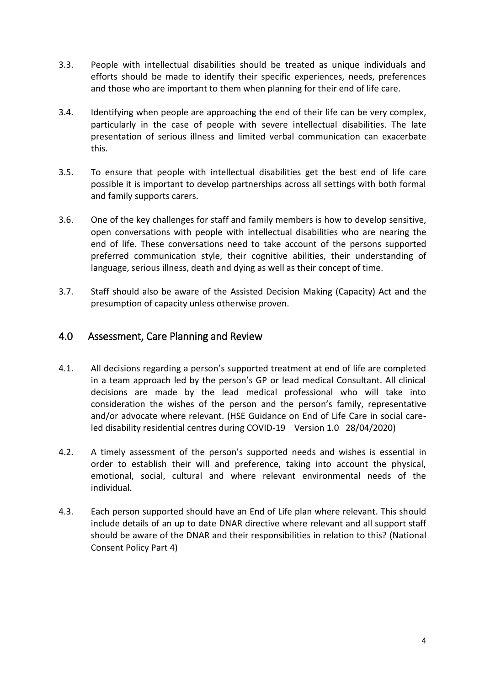- 3.3. People with intellectual disabilities should be treated as unique individuals and efforts should be made to identify their specific experiences, needs, preferences and those who are important to them when planning for their end of life care.
- 3.4. Identifying when people are approaching the end of their life can be very complex, particularly in the case of people with severe intellectual disabilities. The late presentation of serious illness and limited verbal communication can exacerbate this.
- 3.5. To ensure that people with intellectual disabilities get the best end of life care possible it is important to develop partnerships across all settings with both formal and family supports carers.
- 3.6. One of the key challenges for staff and family members is how to develop sensitive, open conversations with people with intellectual disabilities who are nearing the end of life. These conversations need to take account of the persons supported preferred communication style, their cognitive abilities, their understanding of language, serious illness, death and dying as well as their concept of time.
- 3.7. Staff should also be aware of the Assisted Decision Making (Capacity) Act and the presumption of capacity unless otherwise proven.

#### <span id="page-3-0"></span>4.0 Assessment, Care Planning and Review

- 4.1. All decisions regarding a person's supported treatment at end of life are completed in a team approach led by the person's GP or lead medical Consultant. All clinical decisions are made by the lead medical professional who will take into consideration the wishes of the person and the person's family, representative and/or advocate where relevant. (HSE Guidance on End of Life Care in social careled disability residential centres during COVID-19 Version 1.0 28/04/2020)
- 4.2. A timely assessment of the person's supported needs and wishes is essential in order to establish their will and preference, taking into account the physical, emotional, social, cultural and where relevant environmental needs of the individual.
- 4.3. Each person supported should have an End of Life plan where relevant. This should include details of an up to date DNAR directive where relevant and all support staff should be aware of the DNAR and their responsibilities in relation to this? (National Consent Policy Part 4)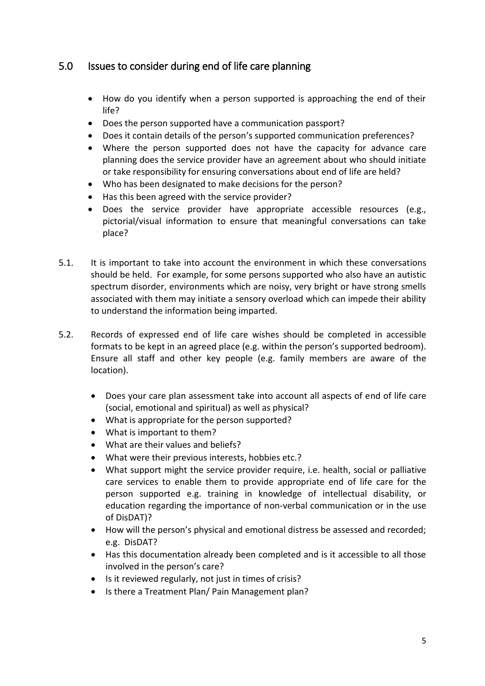## <span id="page-4-0"></span>5.0 Issues to consider during end of life care planning

- How do you identify when a person supported is approaching the end of their life?
- Does the person supported have a communication passport?
- Does it contain details of the person's supported communication preferences?
- Where the person supported does not have the capacity for advance care planning does the service provider have an agreement about who should initiate or take responsibility for ensuring conversations about end of life are held?
- Who has been designated to make decisions for the person?
- Has this been agreed with the service provider?
- Does the service provider have appropriate accessible resources (e.g., pictorial/visual information to ensure that meaningful conversations can take place?
- 5.1. It is important to take into account the environment in which these conversations should be held. For example, for some persons supported who also have an autistic spectrum disorder, environments which are noisy, very bright or have strong smells associated with them may initiate a sensory overload which can impede their ability to understand the information being imparted.
- 5.2. Records of expressed end of life care wishes should be completed in accessible formats to be kept in an agreed place (e.g. within the person's supported bedroom). Ensure all staff and other key people (e.g. family members are aware of the location).
	- Does your care plan assessment take into account all aspects of end of life care (social, emotional and spiritual) as well as physical?
	- What is appropriate for the person supported?
	- What is important to them?
	- What are their values and beliefs?
	- What were their previous interests, hobbies etc.?
	- What support might the service provider require, i.e. health, social or palliative care services to enable them to provide appropriate end of life care for the person supported e.g. training in knowledge of intellectual disability, or education regarding the importance of non-verbal communication or in the use of DisDAT)?
	- How will the person's physical and emotional distress be assessed and recorded; e.g. DisDAT?
	- Has this documentation already been completed and is it accessible to all those involved in the person's care?
	- Is it reviewed regularly, not just in times of crisis?
	- Is there a Treatment Plan/ Pain Management plan?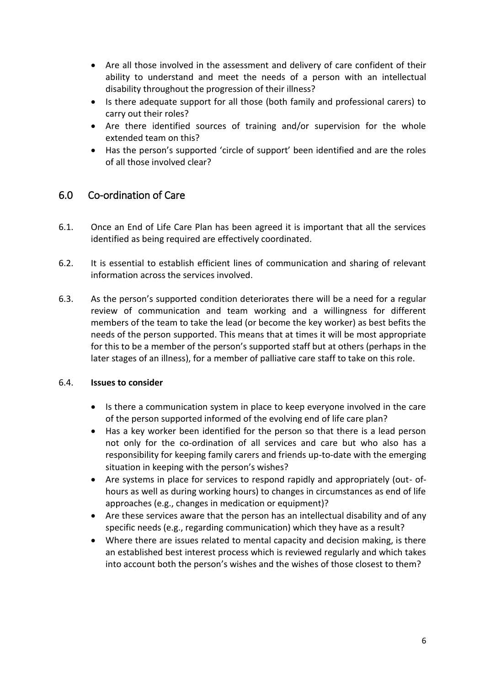- Are all those involved in the assessment and delivery of care confident of their ability to understand and meet the needs of a person with an intellectual disability throughout the progression of their illness?
- Is there adequate support for all those (both family and professional carers) to carry out their roles?
- Are there identified sources of training and/or supervision for the whole extended team on this?
- Has the person's supported 'circle of support' been identified and are the roles of all those involved clear?

# <span id="page-5-0"></span>6.0 Co-ordination of Care

- 6.1. Once an End of Life Care Plan has been agreed it is important that all the services identified as being required are effectively coordinated.
- 6.2. It is essential to establish efficient lines of communication and sharing of relevant information across the services involved.
- 6.3. As the person's supported condition deteriorates there will be a need for a regular review of communication and team working and a willingness for different members of the team to take the lead (or become the key worker) as best befits the needs of the person supported. This means that at times it will be most appropriate for this to be a member of the person's supported staff but at others (perhaps in the later stages of an illness), for a member of palliative care staff to take on this role.

#### 6.4. **Issues to consider**

- Is there a communication system in place to keep everyone involved in the care of the person supported informed of the evolving end of life care plan?
- Has a key worker been identified for the person so that there is a lead person not only for the co-ordination of all services and care but who also has a responsibility for keeping family carers and friends up-to-date with the emerging situation in keeping with the person's wishes?
- Are systems in place for services to respond rapidly and appropriately (out- ofhours as well as during working hours) to changes in circumstances as end of life approaches (e.g., changes in medication or equipment)?
- Are these services aware that the person has an intellectual disability and of any specific needs (e.g., regarding communication) which they have as a result?
- Where there are issues related to mental capacity and decision making, is there an established best interest process which is reviewed regularly and which takes into account both the person's wishes and the wishes of those closest to them?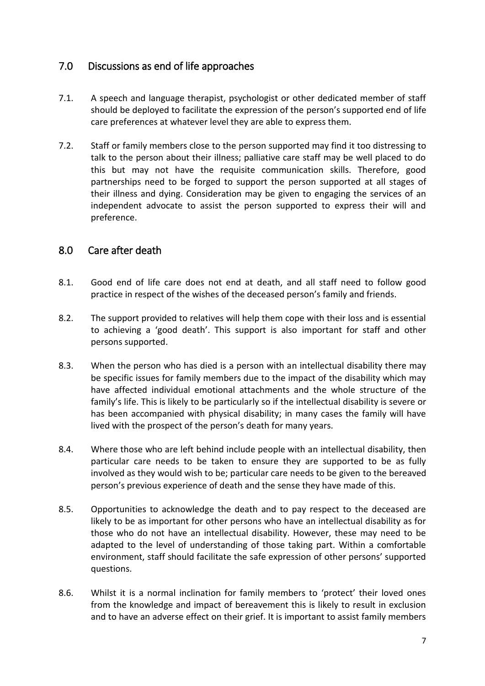## <span id="page-6-0"></span>7.0 Discussions as end of life approaches

- 7.1. A speech and language therapist, psychologist or other dedicated member of staff should be deployed to facilitate the expression of the person's supported end of life care preferences at whatever level they are able to express them.
- 7.2. Staff or family members close to the person supported may find it too distressing to talk to the person about their illness; palliative care staff may be well placed to do this but may not have the requisite communication skills. Therefore, good partnerships need to be forged to support the person supported at all stages of their illness and dying. Consideration may be given to engaging the services of an independent advocate to assist the person supported to express their will and preference.

## <span id="page-6-1"></span>8.0 Care after death

- 8.1. Good end of life care does not end at death, and all staff need to follow good practice in respect of the wishes of the deceased person's family and friends.
- 8.2. The support provided to relatives will help them cope with their loss and is essential to achieving a 'good death'. This support is also important for staff and other persons supported.
- 8.3. When the person who has died is a person with an intellectual disability there may be specific issues for family members due to the impact of the disability which may have affected individual emotional attachments and the whole structure of the family's life. This is likely to be particularly so if the intellectual disability is severe or has been accompanied with physical disability; in many cases the family will have lived with the prospect of the person's death for many years.
- 8.4. Where those who are left behind include people with an intellectual disability, then particular care needs to be taken to ensure they are supported to be as fully involved as they would wish to be; particular care needs to be given to the bereaved person's previous experience of death and the sense they have made of this.
- 8.5. Opportunities to acknowledge the death and to pay respect to the deceased are likely to be as important for other persons who have an intellectual disability as for those who do not have an intellectual disability. However, these may need to be adapted to the level of understanding of those taking part. Within a comfortable environment, staff should facilitate the safe expression of other persons' supported questions.
- 8.6. Whilst it is a normal inclination for family members to 'protect' their loved ones from the knowledge and impact of bereavement this is likely to result in exclusion and to have an adverse effect on their grief. It is important to assist family members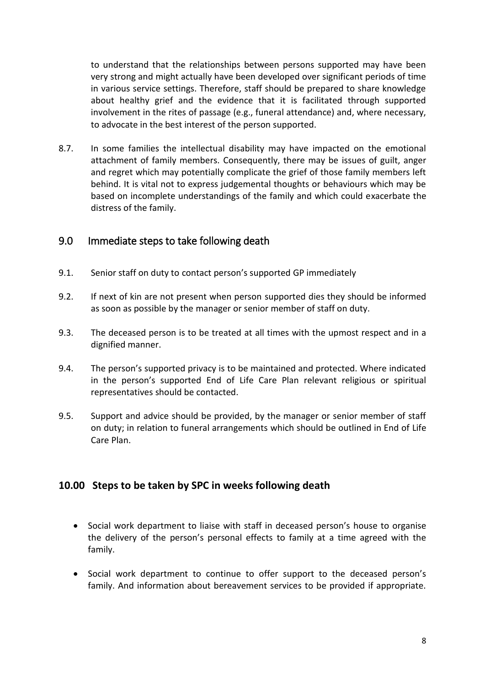to understand that the relationships between persons supported may have been very strong and might actually have been developed over significant periods of time in various service settings. Therefore, staff should be prepared to share knowledge about healthy grief and the evidence that it is facilitated through supported involvement in the rites of passage (e.g., funeral attendance) and, where necessary, to advocate in the best interest of the person supported.

8.7. In some families the intellectual disability may have impacted on the emotional attachment of family members. Consequently, there may be issues of guilt, anger and regret which may potentially complicate the grief of those family members left behind. It is vital not to express judgemental thoughts or behaviours which may be based on incomplete understandings of the family and which could exacerbate the distress of the family.

#### <span id="page-7-0"></span>9.0 Immediate steps to take following death

- 9.1. Senior staff on duty to contact person's supported GP immediately
- 9.2. If next of kin are not present when person supported dies they should be informed as soon as possible by the manager or senior member of staff on duty.
- 9.3. The deceased person is to be treated at all times with the upmost respect and in a dignified manner.
- 9.4. The person's supported privacy is to be maintained and protected. Where indicated in the person's supported End of Life Care Plan relevant religious or spiritual representatives should be contacted.
- 9.5. Support and advice should be provided, by the manager or senior member of staff on duty; in relation to funeral arrangements which should be outlined in End of Life Care Plan.

#### **10.00 Steps to be taken by SPC in weeks following death**

- Social work department to liaise with staff in deceased person's house to organise the delivery of the person's personal effects to family at a time agreed with the family.
- Social work department to continue to offer support to the deceased person's family. And information about bereavement services to be provided if appropriate.